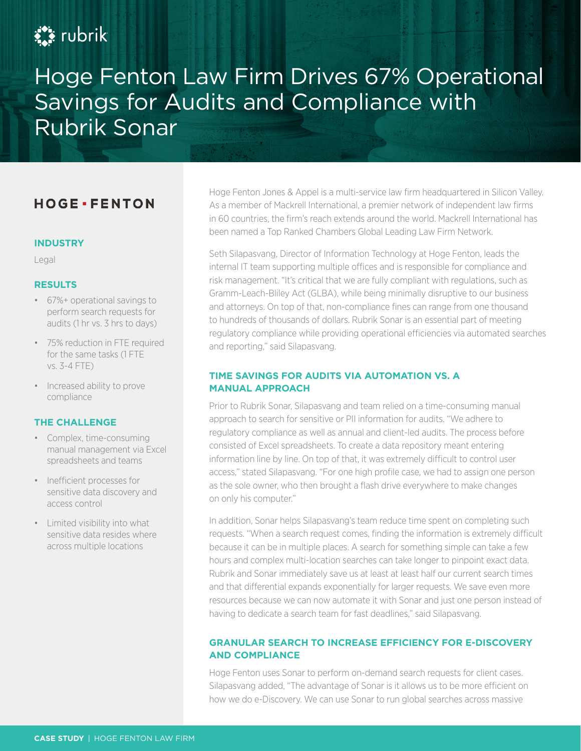# **Ext** rubrik

Hoge Fenton Law Firm Drives 67% Operational Savings for Audits and Compliance with Rubrik Sonar

# **HOGE** · FENTON

#### **INDUSTRY**

Legal

#### **RESULTS**

- 67%+ operational savings to perform search requests for audits (1 hr vs. 3 hrs to days)
- 75% reduction in FTE required for the same tasks (1 FTE vs. 3-4 FTE)
- Increased ability to prove compliance

#### **THE CHALLENGE**

- Complex, time-consuming manual management via Excel spreadsheets and teams
- Inefficient processes for sensitive data discovery and access control
- Limited visibility into what sensitive data resides where across multiple locations

Hoge Fenton Jones & Appel is a multi-service law firm headquartered in Silicon Valley. As a member of Mackrell International, a premier network of independent law firms in 60 countries, the firm's reach extends around the world. Mackrell International has been named a Top Ranked Chambers Global Leading Law Firm Network.

Seth Silapasvang, Director of Information Technology at Hoge Fenton, leads the internal IT team supporting multiple offices and is responsible for compliance and risk management. "It's critical that we are fully compliant with regulations, such as Gramm-Leach-Bliley Act (GLBA), while being minimally disruptive to our business and attorneys. On top of that, non-compliance fines can range from one thousand to hundreds of thousands of dollars. Rubrik Sonar is an essential part of meeting regulatory compliance while providing operational efficiencies via automated searches and reporting," said Silapasvang.

## **TIME SAVINGS FOR AUDITS VIA AUTOMATION VS. A MANUAL APPROACH**

Prior to Rubrik Sonar, Silapasvang and team relied on a time-consuming manual approach to search for sensitive or PII information for audits. "We adhere to regulatory compliance as well as annual and client-led audits. The process before consisted of Excel spreadsheets. To create a data repository meant entering information line by line. On top of that, it was extremely difficult to control user access," stated Silapasvang. "For one high profile case, we had to assign one person as the sole owner, who then brought a flash drive everywhere to make changes on only his computer."

In addition, Sonar helps Silapasvang's team reduce time spent on completing such requests. "When a search request comes, finding the information is extremely difficult because it can be in multiple places. A search for something simple can take a few hours and complex multi-location searches can take longer to pinpoint exact data. Rubrik and Sonar immediately save us at least at least half our current search times and that differential expands exponentially for larger requests. We save even more resources because we can now automate it with Sonar and just one person instead of having to dedicate a search team for fast deadlines," said Silapasvang.

## **GRANULAR SEARCH TO INCREASE EFFICIENCY FOR E-DISCOVERY AND COMPLIANCE**

Hoge Fenton uses Sonar to perform on-demand search requests for client cases. Silapasvang added, "The advantage of Sonar is it allows us to be more efficient on how we do e-Discovery. We can use Sonar to run global searches across massive